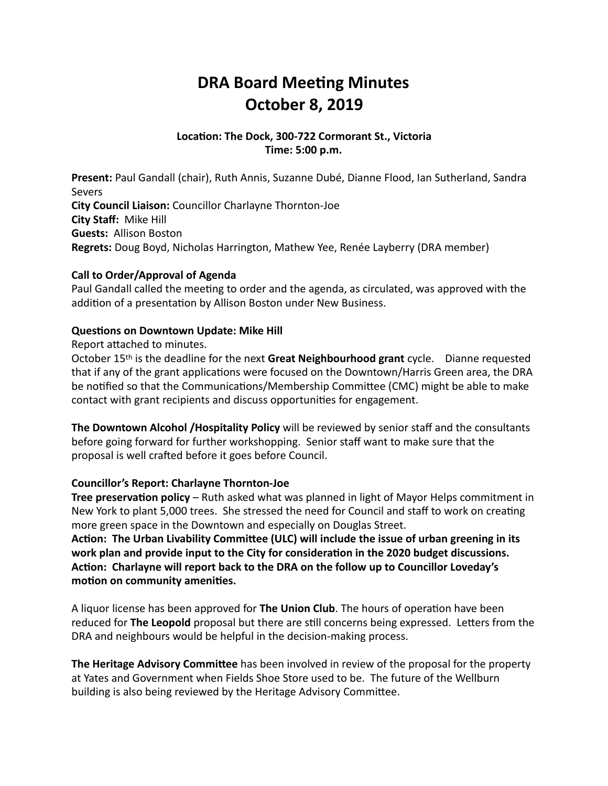# **DRA Board Meeting Minutes October 8, 2019**

### Location: The Dock, 300-722 Cormorant St., Victoria **Time: 5:00 p.m.**

**Present:** Paul Gandall (chair), Ruth Annis, Suzanne Dubé, Dianne Flood, Ian Sutherland, Sandra Severs **City Council Liaison:** Councillor Charlayne Thornton-Joe **City Staff: Mike Hill Guests: Allison Boston Regrets:** Doug Boyd, Nicholas Harrington, Mathew Yee, Renée Layberry (DRA member)

### **Call to Order/Approval of Agenda**

Paul Gandall called the meeting to order and the agenda, as circulated, was approved with the addition of a presentation by Allison Boston under New Business.

### **Questions on Downtown Update: Mike Hill**

Report attached to minutes.

October 15<sup>th</sup> is the deadline for the next **Great Neighbourhood grant** cycle. Dianne requested that if any of the grant applications were focused on the Downtown/Harris Green area, the DRA be notified so that the Communications/Membership Committee (CMC) might be able to make contact with grant recipients and discuss opportunities for engagement.

**The Downtown Alcohol /Hospitality Policy** will be reviewed by senior staff and the consultants before going forward for further workshopping. Senior staff want to make sure that the proposal is well crafted before it goes before Council.

#### **Councillor's Report: Charlayne Thornton-Joe**

**Tree preservation policy** – Ruth asked what was planned in light of Mayor Helps commitment in New York to plant 5,000 trees. She stressed the need for Council and staff to work on creating more green space in the Downtown and especially on Douglas Street.

Action: The Urban Livability Committee (ULC) will include the issue of urban greening in its work plan and provide input to the City for consideration in the 2020 budget discussions. Action: Charlayne will report back to the DRA on the follow up to Councillor Loveday's motion on community amenities.

A liquor license has been approved for **The Union Club**. The hours of operation have been reduced for The Leopold proposal but there are still concerns being expressed. Letters from the DRA and neighbours would be helpful in the decision-making process.

**The Heritage Advisory Committee** has been involved in review of the proposal for the property at Yates and Government when Fields Shoe Store used to be. The future of the Wellburn building is also being reviewed by the Heritage Advisory Committee.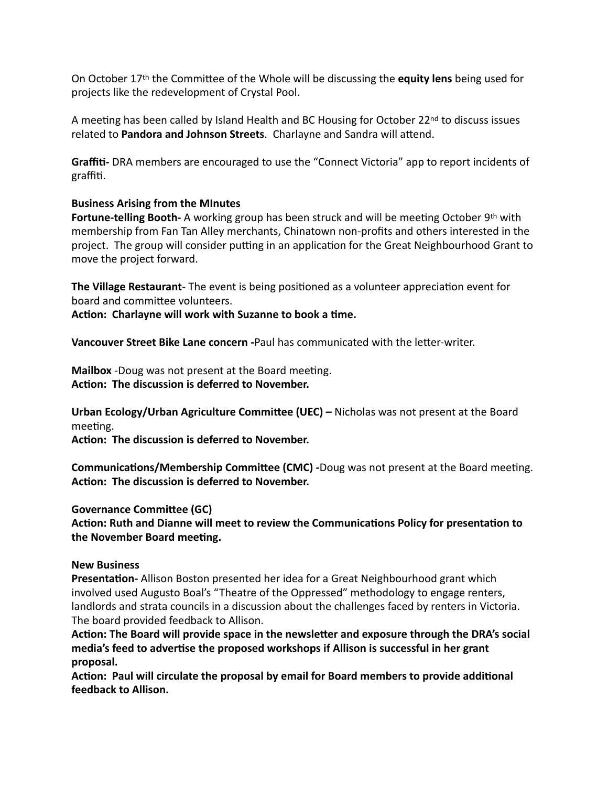On October 17<sup>th</sup> the Committee of the Whole will be discussing the **equity lens** being used for projects like the redevelopment of Crystal Pool.

A meeting has been called by Island Health and BC Housing for October  $22^{nd}$  to discuss issues related to Pandora and Johnson Streets. Charlayne and Sandra will attend.

**Graffiti-** DRA members are encouraged to use the "Connect Victoria" app to report incidents of graffiti.

### **Business Arising from the MInutes**

**Fortune-telling Booth-** A working group has been struck and will be meeting October 9<sup>th</sup> with membership from Fan Tan Alley merchants, Chinatown non-profits and others interested in the project. The group will consider putting in an application for the Great Neighbourhood Grant to move the project forward.

**The Village Restaurant**- The event is being positioned as a volunteer appreciation event for board and committee volunteers.

Action: Charlayne will work with Suzanne to book a time.

**Vancouver Street Bike Lane concern** -Paul has communicated with the letter-writer.

**Mailbox** -Doug was not present at the Board meeting. Action: The discussion is deferred to November.

**Urban Ecology/Urban Agriculture Committee (UEC)** – Nicholas was not present at the Board meeting.

Action: The discussion is deferred to November.

**Communications/Membership Committee (CMC)** -Doug was not present at the Board meeting. Action: The discussion is deferred to November.

**Governance Committee (GC)** 

Action: Ruth and Dianne will meet to review the Communications Policy for presentation to **the November Board meeting.** 

#### **New Business**

**Presentation-** Allison Boston presented her idea for a Great Neighbourhood grant which involved used Augusto Boal's "Theatre of the Oppressed" methodology to engage renters, landlords and strata councils in a discussion about the challenges faced by renters in Victoria. The board provided feedback to Allison.

Action: The Board will provide space in the newsletter and exposure through the DRA's social media's feed to advertise the proposed workshops if Allison is successful in her grant **proposal.** 

Action: Paul will circulate the proposal by email for Board members to provide additional **feedback to Allison.**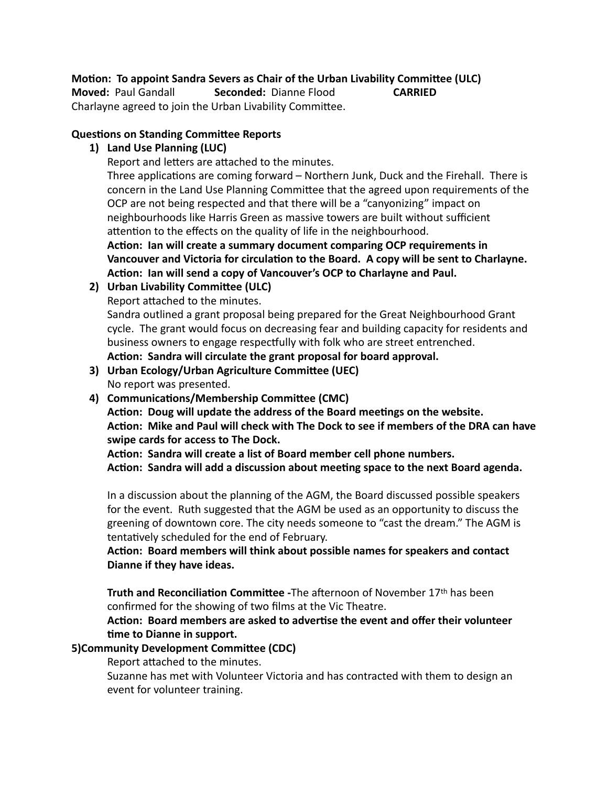# **Motion: To appoint Sandra Severs as Chair of the Urban Livability Committee (ULC)**

**Moved:** Paul Gandall **Seconded:** Dianne Flood **CARRIED** 

Charlayne agreed to join the Urban Livability Committee.

# **Questions on Standing Committee Reports**

# 1) Land Use Planning (LUC)

Report and letters are attached to the minutes.

Three applications are coming forward  $-$  Northern Junk, Duck and the Firehall. There is concern in the Land Use Planning Committee that the agreed upon requirements of the OCP are not being respected and that there will be a "canyonizing" impact on neighbourhoods like Harris Green as massive towers are built without sufficient attention to the effects on the quality of life in the neighbourhood.

Action: Ian will create a summary document comparing OCP requirements in Vancouver and Victoria for circulation to the Board. A copy will be sent to Charlayne. Action: Ian will send a copy of Vancouver's OCP to Charlayne and Paul.

**2)** Urban Livability Committee (ULC)

Report attached to the minutes.

Sandra outlined a grant proposal being prepared for the Great Neighbourhood Grant cycle. The grant would focus on decreasing fear and building capacity for residents and business owners to engage respectfully with folk who are street entrenched. Action: Sandra will circulate the grant proposal for board approval.

- **3)** Urban Ecology/Urban Agriculture Committee (UEC) No report was presented.
- 4) Communications/Membership Committee (CMC)

Action: Doug will update the address of the Board meetings on the website. Action: Mike and Paul will check with The Dock to see if members of the DRA can have swipe cards for access to The Dock.

Action: Sandra will create a list of Board member cell phone numbers.

Action: Sandra will add a discussion about meeting space to the next Board agenda.

In a discussion about the planning of the AGM, the Board discussed possible speakers for the event. Ruth suggested that the AGM be used as an opportunity to discuss the greening of downtown core. The city needs someone to "cast the dream." The AGM is tentatively scheduled for the end of February.

Action: Board members will think about possible names for speakers and contact Dianne if they have ideas.

**Truth and Reconciliation Committee** -The afternoon of November 17<sup>th</sup> has been confirmed for the showing of two films at the Vic Theatre.

Action: Board members are asked to advertise the event and offer their volunteer time to Dianne in support.

# **5)Community Development Committee (CDC)**

Report attached to the minutes.

Suzanne has met with Volunteer Victoria and has contracted with them to design an event for volunteer training.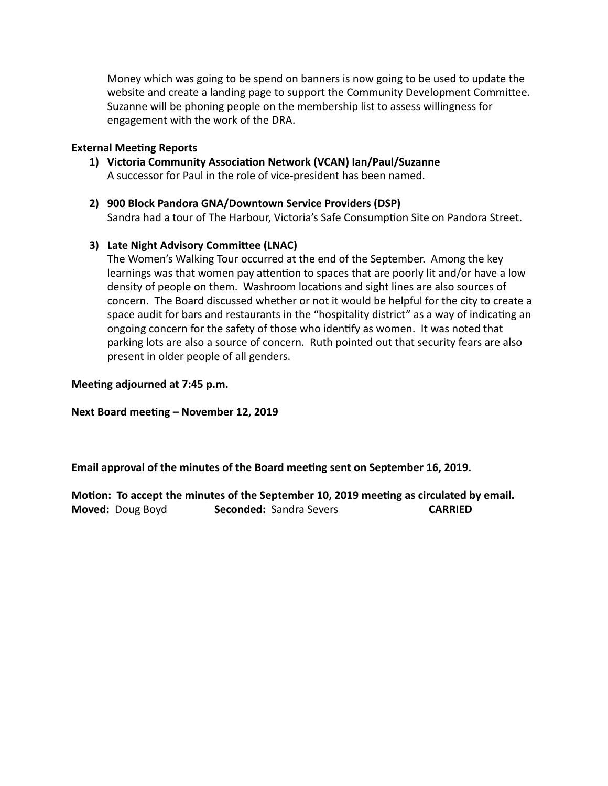Money which was going to be spend on banners is now going to be used to update the website and create a landing page to support the Community Development Committee. Suzanne will be phoning people on the membership list to assess willingness for engagement with the work of the DRA.

#### **External Meeting Reports**

- 1) Victoria Community Association Network (VCAN) Ian/Paul/Suzanne A successor for Paul in the role of vice-president has been named.
- 2) 900 Block Pandora GNA/Downtown Service Providers (DSP) Sandra had a tour of The Harbour, Victoria's Safe Consumption Site on Pandora Street.

#### **3)** Late Night Advisory Committee (LNAC)

The Women's Walking Tour occurred at the end of the September. Among the key learnings was that women pay attention to spaces that are poorly lit and/or have a low density of people on them. Washroom locations and sight lines are also sources of concern. The Board discussed whether or not it would be helpful for the city to create a space audit for bars and restaurants in the "hospitality district" as a way of indicating an ongoing concern for the safety of those who identify as women. It was noted that parking lots are also a source of concern. Ruth pointed out that security fears are also present in older people of all genders.

**Meeting adjourned at 7:45 p.m.** 

**Next Board meeting – November 12, 2019** 

**Email approval of the minutes of the Board meeting sent on September 16, 2019.** 

Motion: To accept the minutes of the September 10, 2019 meeting as circulated by email. **Moved:** Doug Boyd **Seconded:** Sandra Severs **CARRIED**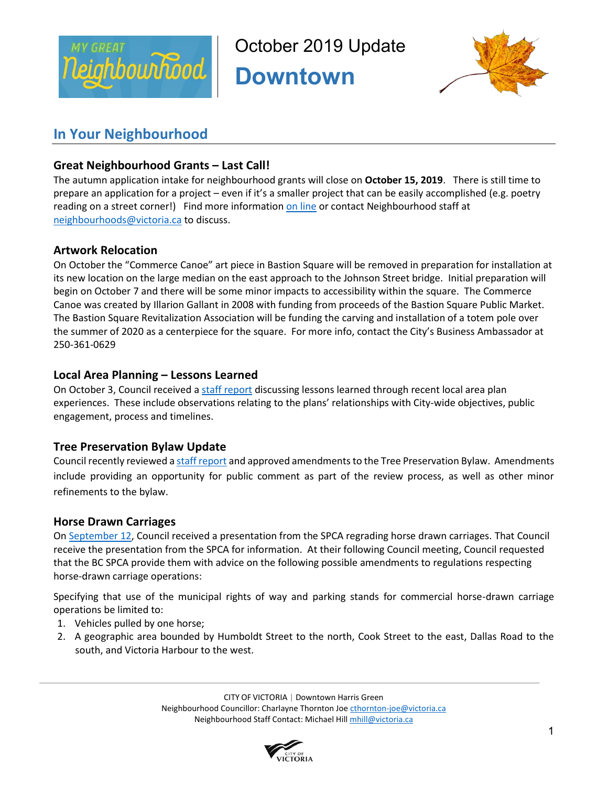

October 2019 Update

**Downtown** 



# **In Your Neighbourhood**

# **Great Neighbourhood Grants – Last Call!**

The autumn application intake for neighbourhood grants will close on **October 15, 2019**. There is still time to prepare an application for a project – even if it's a smaller project that can be easily accomplished (e.g. poetry reading on a street corner!) Find more information on line or contact Neighbourhood staff at neighbourhoods@victoria.ca to discuss.

# **Artwork Relocation**

On October the "Commerce Canoe" art piece in Bastion Square will be removed in preparation for installation at its new location on the large median on the east approach to the Johnson Street bridge. Initial preparation will begin on October 7 and there will be some minor impacts to accessibility within the square. The Commerce Canoe was created by Illarion Gallant in 2008 with funding from proceeds of the Bastion Square Public Market. The Bastion Square Revitalization Association will be funding the carving and installation of a totem pole over the summer of 2020 as a centerpiece for the square. For more info, contact the City's Business Ambassador at 250-361-0629

# **Local Area Planning – Lessons Learned**

On October 3, Council received a staff report discussing lessons learned through recent local area plan experiences. These include observations relating to the plans' relationships with City-wide objectives, public engagement, process and timelines.

# **Tree Preservation Bylaw Update**

Council recently reviewed a staff report and approved amendments to the Tree Preservation Bylaw. Amendments include providing an opportunity for public comment as part of the review process, as well as other minor refinements to the bylaw.

# **Horse Drawn Carriages**

On September 12, Council received a presentation from the SPCA regrading horse drawn carriages. That Council receive the presentation from the SPCA for information. At their following Council meeting, Council requested that the BC SPCA provide them with advice on the following possible amendments to regulations respecting horse-drawn carriage operations:

Specifying that use of the municipal rights of way and parking stands for commercial horse-drawn carriage operations be limited to:

- 1. Vehicles pulled by one horse;
- 2. A geographic area bounded by Humboldt Street to the north, Cook Street to the east, Dallas Road to the south, and Victoria Harbour to the west.

CITY OF VICTORIA | Downtown Harris Green Neighbourhood Councillor: Charlayne Thornton Joe cthornton-joe@victoria.ca Neighbourhood Staff Contact: Michael Hill mhill@victoria.ca

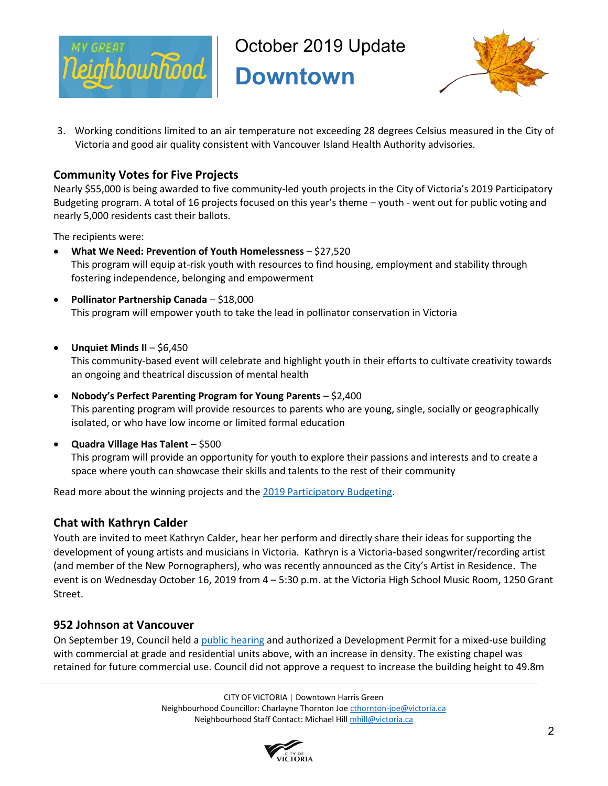

October 2019 Update

**Downtown** 



3. Working conditions limited to an air temperature not exceeding 28 degrees Celsius measured in the City of Victoria and good air quality consistent with Vancouver Island Health Authority advisories.

# **Community Votes for Five Projects**

Nearly \$55,000 is being awarded to five community-led youth projects in the City of Victoria's 2019 Participatory Budgeting program. A total of 16 projects focused on this year's theme – youth - went out for public voting and nearly 5,000 residents cast their ballots.

The recipients were:

- **What We Need: Prevention of Youth Homelessness** \$27,520 This program will equip at-risk youth with resources to find housing, employment and stability through fostering independence, belonging and empowerment
- **Pollinator Partnership Canada** \$18,000 This program will empower youth to take the lead in pollinator conservation in Victoria
- **Unquiet Minds II** \$6,450

This community-based event will celebrate and highlight youth in their efforts to cultivate creativity towards an ongoing and theatrical discussion of mental health

- **Nobody's Perfect Parenting Program for Young Parents** \$2,400 This parenting program will provide resources to parents who are young, single, socially or geographically isolated, or who have low income or limited formal education
- **Quadra Village Has Talent** \$500

This program will provide an opportunity for youth to explore their passions and interests and to create a space where youth can showcase their skills and talents to the rest of their community

Read more about the winning projects and the 2019 Participatory Budgeting.

## **Chat with Kathryn Calder**

Youth are invited to meet Kathryn Calder, hear her perform and directly share their ideas for supporting the development of young artists and musicians in Victoria. Kathryn is a Victoria-based songwriter/recording artist (and member of the New Pornographers), who was recently announced as the City's Artist in Residence. The event is on Wednesday October 16, 2019 from 4 – 5:30 p.m. at the Victoria High School Music Room, 1250 Grant Street.

## **952 Johnson at Vancouver**

On September 19, Council held a public hearing and authorized a Development Permit for a mixed-use building with commercial at grade and residential units above, with an increase in density. The existing chapel was retained for future commercial use. Council did not approve a request to increase the building height to 49.8m

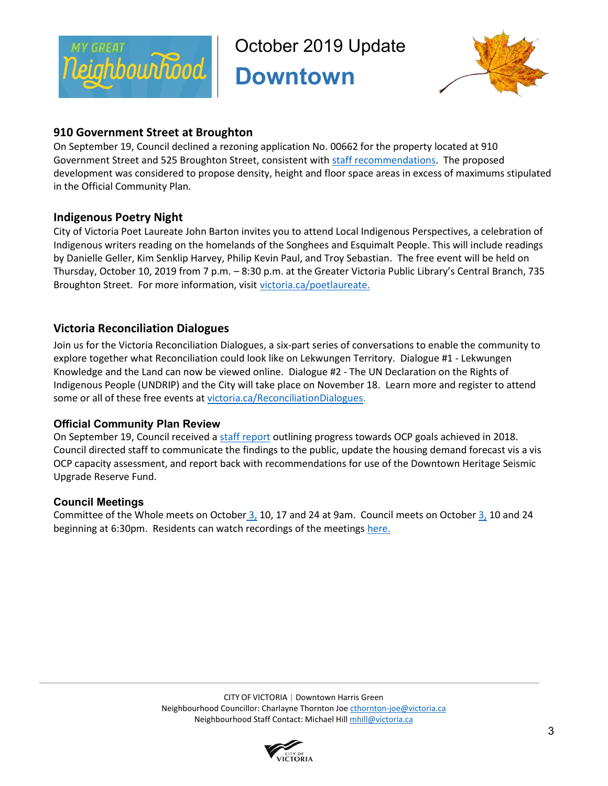

October 2019 Update

**Downtown** 



# **910 Government Street at Broughton**

On September 19, Council declined a rezoning application No. 00662 for the property located at 910 Government Street and 525 Broughton Street, consistent with staff recommendations. The proposed development was considered to propose density, height and floor space areas in excess of maximums stipulated in the Official Community Plan.

# **Indigenous Poetry Night**

City of Victoria Poet Laureate John Barton invites you to attend Local Indigenous Perspectives, a celebration of Indigenous writers reading on the homelands of the Songhees and Esquimalt People. This will include readings by Danielle Geller, Kim Senklip Harvey, Philip Kevin Paul, and Troy Sebastian. The free event will be held on Thursday, October 10, 2019 from 7 p.m. – 8:30 p.m. at the Greater Victoria Public Library's Central Branch, 735 Broughton Street. For more information, visit victoria.ca/poetlaureate.

# **Victoria Reconciliation Dialogues**

Join us for the Victoria Reconciliation Dialogues, a six-part series of conversations to enable the community to explore together what Reconciliation could look like on Lekwungen Territory. Dialogue #1 - Lekwungen Knowledge and the Land can now be viewed online. Dialogue #2 - The UN Declaration on the Rights of Indigenous People (UNDRIP) and the City will take place on November 18. Learn more and register to attend some or all of these free events at victoria.ca/ReconciliationDialogues.

# **Official Community Plan Review**

On September 19, Council received a staff report outlining progress towards OCP goals achieved in 2018. Council directed staff to communicate the findings to the public, update the housing demand forecast vis a vis OCP capacity assessment, and report back with recommendations for use of the Downtown Heritage Seismic Upgrade Reserve Fund.

# **Council Meetings**

Committee of the Whole meets on October 3, 10, 17 and 24 at 9am. Council meets on October 3, 10 and 24 beginning at 6:30pm. Residents can watch recordings of the meetings here.

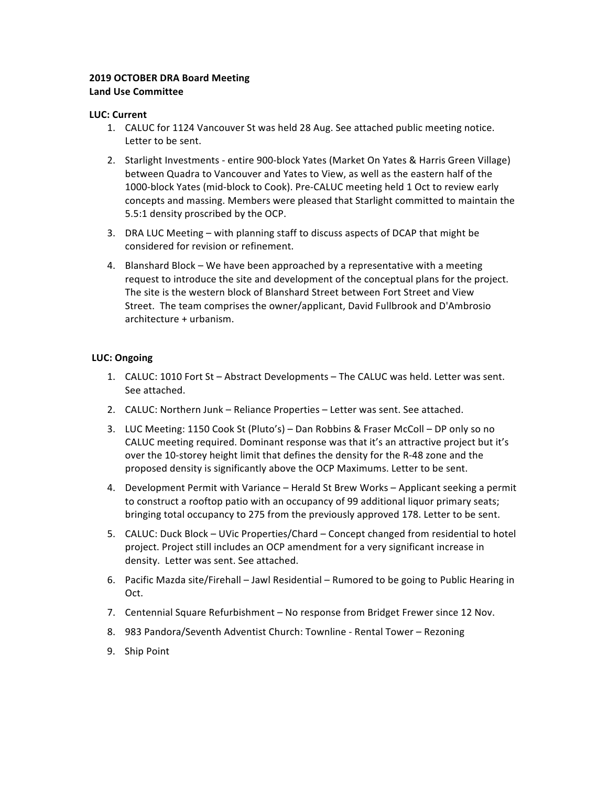#### **2019 OCTOBER DRA Board Meeting Land Use Committee**

#### **LUC: Current**

- 1. CALUC for 1124 Vancouver St was held 28 Aug. See attached public meeting notice. Letter to be sent.
- 2. Starlight Investments entire 900-block Yates (Market On Yates & Harris Green Village) between Quadra to Vancouver and Yates to View, as well as the eastern half of the 1000-block Yates (mid-block to Cook). Pre-CALUC meeting held 1 Oct to review early concepts and massing. Members were pleased that Starlight committed to maintain the 5.5:1 density proscribed by the OCP.
- 3. DRA LUC Meeting with planning staff to discuss aspects of DCAP that might be considered for revision or refinement.
- 4. Blanshard Block We have been approached by a representative with a meeting request to introduce the site and development of the conceptual plans for the project. The site is the western block of Blanshard Street between Fort Street and View Street. The team comprises the owner/applicant, David Fullbrook and D'Ambrosio architecture + urbanism.

#### **LUC: Ongoing**

- 1. CALUC: 1010 Fort St Abstract Developments The CALUC was held. Letter was sent. See attached.
- 2. CALUC: Northern Junk Reliance Properties Letter was sent. See attached.
- 3. LUC Meeting: 1150 Cook St (Pluto's) Dan Robbins & Fraser McColl DP only so no CALUC meeting required. Dominant response was that it's an attractive project but it's over the 10-storey height limit that defines the density for the R-48 zone and the proposed density is significantly above the OCP Maximums. Letter to be sent.
- 4. Development Permit with Variance Herald St Brew Works Applicant seeking a permit to construct a rooftop patio with an occupancy of 99 additional liquor primary seats; bringing total occupancy to 275 from the previously approved 178. Letter to be sent.
- 5. CALUC: Duck Block UVic Properties/Chard Concept changed from residential to hotel project. Project still includes an OCP amendment for a very significant increase in density. Letter was sent. See attached.
- 6. Pacific Mazda site/Firehall Jawl Residential Rumored to be going to Public Hearing in Oct.
- 7. Centennial Square Refurbishment No response from Bridget Frewer since 12 Nov.
- 8. 983 Pandora/Seventh Adventist Church: Townline Rental Tower Rezoning
- 9. Ship Point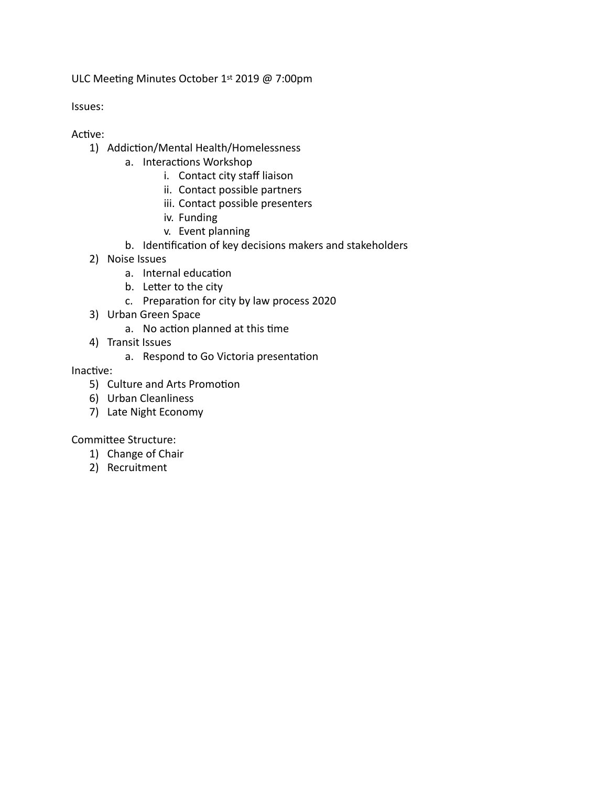ULC Meeting Minutes October 1st 2019 @ 7:00pm

Issues: 

- Active:
	- 1) Addiction/Mental Health/Homelessness
		- a. Interactions Workshop
			- i. Contact city staff liaison
			- ii. Contact possible partners
			- iii. Contact possible presenters
			- iv. Funding
			- v. Event planning
		- b. Identification of key decisions makers and stakeholders
	- 2) Noise Issues
		- a. Internal education
		- b. Letter to the city
		- c. Preparation for city by law process 2020
	- 3) Urban Green Space
		- a. No action planned at this time
	- 4) Transit Issues
		- a. Respond to Go Victoria presentation

Inactive:

- 5) Culture and Arts Promotion
- 6) Urban Cleanliness
- 7) Late Night Economy

Committee Structure:

- 1) Change of Chair
- 2) Recruitment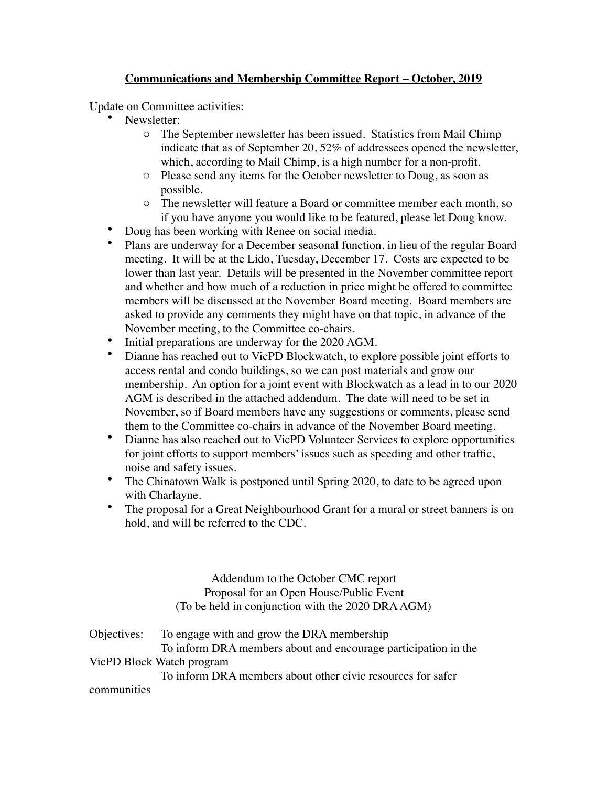# **Communications and Membership Committee Report – October, 2019**

Update on Committee activities:

- Newsletter:
	- o The September newsletter has been issued. Statistics from Mail Chimp indicate that as of September 20, 52% of addressees opened the newsletter, which, according to Mail Chimp, is a high number for a non-profit.
	- o Please send any items for the October newsletter to Doug, as soon as possible.
	- o The newsletter will feature a Board or committee member each month, so if you have anyone you would like to be featured, please let Doug know.
- Doug has been working with Renee on social media.
- Plans are underway for a December seasonal function, in lieu of the regular Board meeting. It will be at the Lido, Tuesday, December 17. Costs are expected to be lower than last year. Details will be presented in the November committee report and whether and how much of a reduction in price might be offered to committee members will be discussed at the November Board meeting. Board members are asked to provide any comments they might have on that topic, in advance of the November meeting, to the Committee co-chairs.
- Initial preparations are underway for the 2020 AGM.
- Dianne has reached out to VicPD Blockwatch, to explore possible joint efforts to access rental and condo buildings, so we can post materials and grow our membership. An option for a joint event with Blockwatch as a lead in to our 2020 AGM is described in the attached addendum. The date will need to be set in November, so if Board members have any suggestions or comments, please send them to the Committee co-chairs in advance of the November Board meeting.
- Dianne has also reached out to VicPD Volunteer Services to explore opportunities for joint efforts to support members' issues such as speeding and other traffic, noise and safety issues.
- The Chinatown Walk is postponed until Spring 2020, to date to be agreed upon with Charlayne.
- The proposal for a Great Neighbourhood Grant for a mural or street banners is on hold, and will be referred to the CDC.

Addendum to the October CMC report Proposal for an Open House/Public Event (To be held in conjunction with the 2020 DRA AGM)

|             | Objectives: To engage with and grow the DRA membership         |  |  |
|-------------|----------------------------------------------------------------|--|--|
|             | To inform DRA members about and encourage participation in the |  |  |
|             | VicPD Block Watch program                                      |  |  |
|             | To inform DRA members about other civic resources for safer    |  |  |
| communities |                                                                |  |  |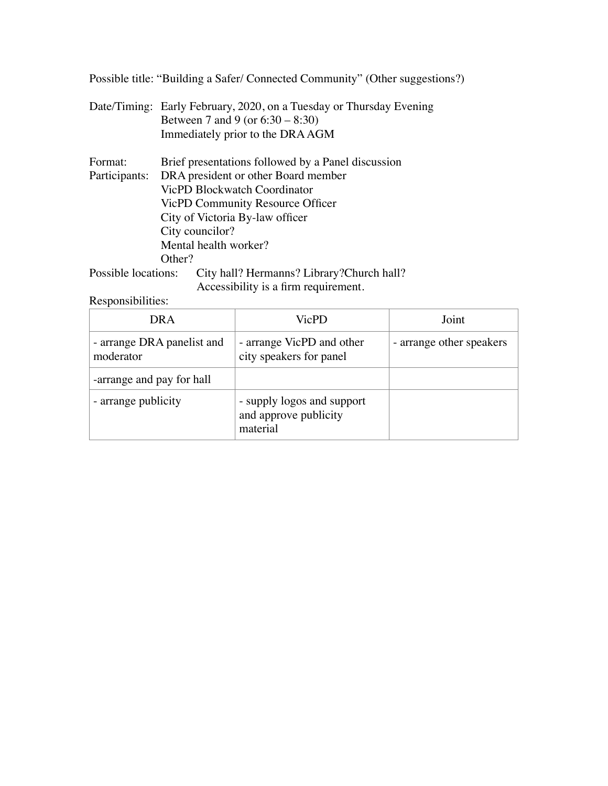Possible title: "Building a Safer/ Connected Community" (Other suggestions?)

Date/Timing: Early February, 2020, on a Tuesday or Thursday Evening Between 7 and 9 (or 6:30 – 8:30) Immediately prior to the DRA AGM

| Format:       | Brief presentations followed by a Panel discussion |  |
|---------------|----------------------------------------------------|--|
| Participants: | DRA president or other Board member                |  |
|               | VicPD Blockwatch Coordinator                       |  |
|               | VicPD Community Resource Officer                   |  |
|               | City of Victoria By-law officer                    |  |
|               | City councilor?                                    |  |
|               | Mental health worker?                              |  |
|               | Other?                                             |  |
|               |                                                    |  |

Possible locations: City hall? Hermanns? Library?Church hall? Accessibility is a firm requirement.

Responsibilities:

| DR A                                    | VicPD                                                           | Joint                    |
|-----------------------------------------|-----------------------------------------------------------------|--------------------------|
| - arrange DRA panelist and<br>moderator | - arrange VicPD and other<br>city speakers for panel            | - arrange other speakers |
| -arrange and pay for hall               |                                                                 |                          |
| - arrange publicity                     | - supply logos and support<br>and approve publicity<br>material |                          |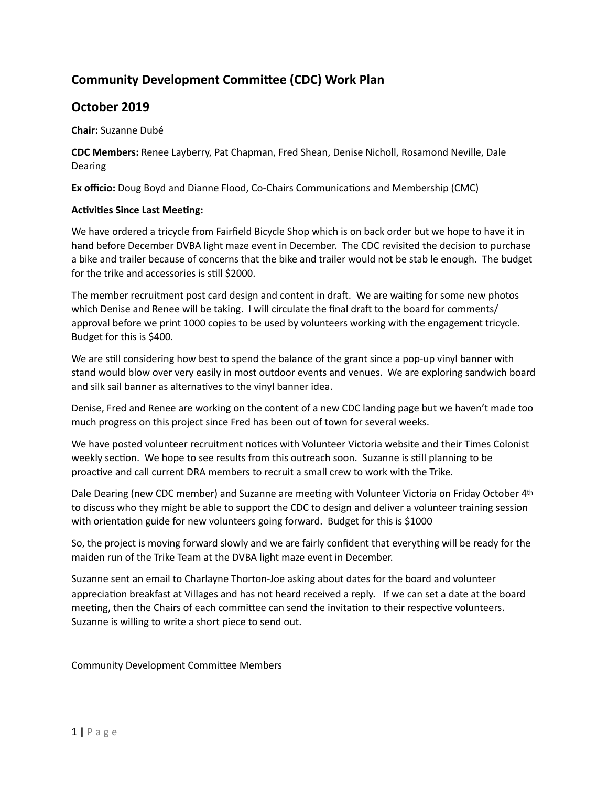# **Community Development Committee (CDC) Work Plan**

# **October 2019**

**Chair:** Suzanne Dubé 

**CDC Members:** Renee Layberry, Pat Chapman, Fred Shean, Denise Nicholl, Rosamond Neville, Dale Dearing 

**Ex officio:** Doug Boyd and Dianne Flood, Co-Chairs Communications and Membership (CMC)

#### **Activities Since Last Meeting:**

We have ordered a tricycle from Fairfield Bicycle Shop which is on back order but we hope to have it in hand before December DVBA light maze event in December. The CDC revisited the decision to purchase a bike and trailer because of concerns that the bike and trailer would not be stab le enough. The budget for the trike and accessories is still \$2000.

The member recruitment post card design and content in draft. We are waiting for some new photos which Denise and Renee will be taking. I will circulate the final draft to the board for comments/ approval before we print 1000 copies to be used by volunteers working with the engagement tricycle. Budget for this is \$400.

We are still considering how best to spend the balance of the grant since a pop-up vinyl banner with stand would blow over very easily in most outdoor events and venues. We are exploring sandwich board and silk sail banner as alternatives to the vinyl banner idea.

Denise, Fred and Renee are working on the content of a new CDC landing page but we haven't made too much progress on this project since Fred has been out of town for several weeks.

We have posted volunteer recruitment notices with Volunteer Victoria website and their Times Colonist weekly section. We hope to see results from this outreach soon. Suzanne is still planning to be proactive and call current DRA members to recruit a small crew to work with the Trike.

Dale Dearing (new CDC member) and Suzanne are meeting with Volunteer Victoria on Friday October 4<sup>th</sup> to discuss who they might be able to support the CDC to design and deliver a volunteer training session with orientation guide for new volunteers going forward. Budget for this is \$1000

So, the project is moving forward slowly and we are fairly confident that everything will be ready for the maiden run of the Trike Team at the DVBA light maze event in December.

Suzanne sent an email to Charlayne Thorton-Joe asking about dates for the board and volunteer appreciation breakfast at Villages and has not heard received a reply. If we can set a date at the board meeting, then the Chairs of each committee can send the invitation to their respective volunteers. Suzanne is willing to write a short piece to send out.

Community Development Committee Members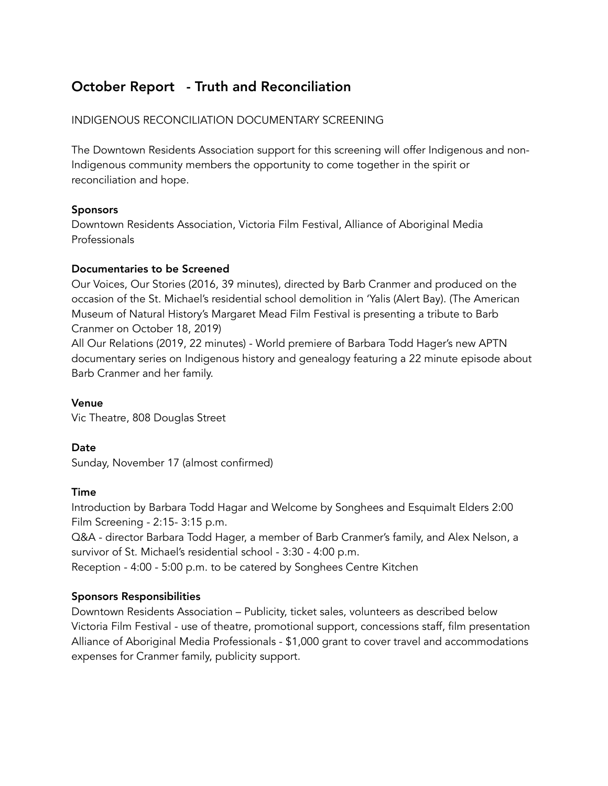# October Report - Truth and Reconciliation

# INDIGENOUS RECONCILIATION DOCUMENTARY SCREENING

The Downtown Residents Association support for this screening will offer Indigenous and non-Indigenous community members the opportunity to come together in the spirit or reconciliation and hope.

## Sponsors

Downtown Residents Association, Victoria Film Festival, Alliance of Aboriginal Media Professionals

## Documentaries to be Screened

Our Voices, Our Stories (2016, 39 minutes), directed by Barb Cranmer and produced on the occasion of the St. Michael's residential school demolition in 'Yalis (Alert Bay). (The American Museum of Natural History's Margaret Mead Film Festival is presenting a tribute to Barb Cranmer on October 18, 2019)

All Our Relations (2019, 22 minutes) - World premiere of Barbara Todd Hager's new APTN documentary series on Indigenous history and genealogy featuring a 22 minute episode about Barb Cranmer and her family.

## Venue

Vic Theatre, 808 Douglas Street

## Date

Sunday, November 17 (almost confirmed)

## Time

Introduction by Barbara Todd Hagar and Welcome by Songhees and Esquimalt Elders 2:00 Film Screening - 2:15- 3:15 p.m.

Q&A - director Barbara Todd Hager, a member of Barb Cranmer's family, and Alex Nelson, a survivor of St. Michael's residential school - 3:30 - 4:00 p.m.

Reception - 4:00 - 5:00 p.m. to be catered by Songhees Centre Kitchen

## Sponsors Responsibilities

Downtown Residents Association – Publicity, ticket sales, volunteers as described below Victoria Film Festival - use of theatre, promotional support, concessions staff, film presentation Alliance of Aboriginal Media Professionals - \$1,000 grant to cover travel and accommodations expenses for Cranmer family, publicity support.